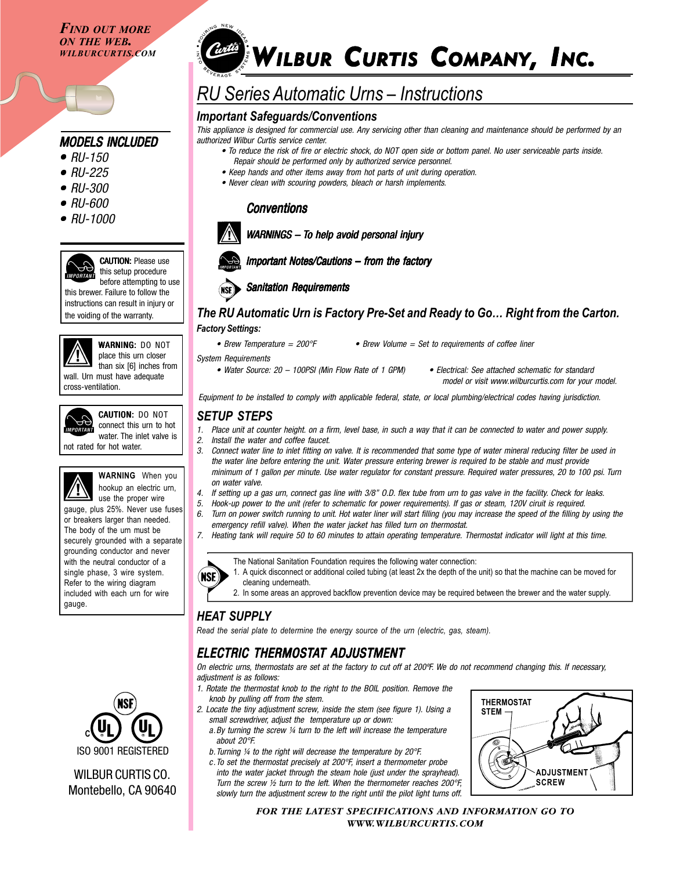*FIND OUT MORE ON THE WEB. WILBURCURTIS.COM*

## *MODELS INCLUDED*

- *RU-150 •*
- *RU-225 •*
- *RU-300 •*
- *RU-600 •*
- *RU-1000 •*



CAUTION: Please use this setup procedure before attempting to use this brewer. Failure to follow the

instructions can result in injury or the voiding of the warranty.



**WARNING: DO NOT** place this urn closer than six [6] inches from wall. Urn must have adequate cross-ventilation.



CAUTION: DO NOT connect this urn to hot water. The inlet valve is

not rated for hot water.



gauge.

**WARNING** When you hookup an electric urn, use the proper wire gauge, plus 25%. Never use fuses or breakers larger than needed. The body of the urn must be securely grounded with a separate grounding conductor and never with the neutral conductor of a single phase, 3 wire system. Refer to the wiring diagram included with each urn for wire



## WILBUR CURTIS CO. Montebello, CA 90640

# *Conta* WILBUR CURTIS COMPANY, INC.

## *RU Series Automatic Urns – Instructions*

## *Important Safeguards/Conventions*

*This appliance is designed for commercial use. Any servicing other than cleaning and maintenance should be performed by an authorized Wilbur Curtis service center.*

- *To reduce the risk of fire or electric shock, do NOT open side or bottom panel. No user serviceable parts inside. Repair should be performed only by authorized service personnel.*
- *Keep hands and other items away from hot parts of unit during operation.*
- *Never clean with scouring powders, bleach or harsh implements.*

## *Conventions*



**WARNINGS – To help avoid personal injury** 



## *Important Notes/Cautions – from the factor Important the factory*



## *The RU Automatic Urn is Factory Pre-Set and Ready to Go… Right from the Carton. Factory Settings:*

- *Brew Temperature = 200°F Brew Volume = Set to requirements of coffee liner*
- *System Requirements*

*• Water Source: 20 – 100PSI (Min Flow Rate of 1 GPM) • Electrical: See attached schematic for standard*

 *model or visit www.wilburcurtis.com for your model.*

*Equipment to be installed to comply with applicable federal, state, or local plumbing/electrical codes having jurisdiction.*

## *SETUP STEPS*

- *1. Place unit at counter height. on a firm, level base, in such a way that it can be connected to water and power supply.*
- *2. Install the water and coffee faucet.*
- *3. Connect water line to inlet fitting on valve. It is recommended that some type of water mineral reducing filter be used in the water line before entering the unit. Water pressure entering brewer is required to be stable and must provide minimum of 1 gallon per minute. Use water regulator for constant pressure. Required water pressures, 20 to 100 psi. Turn on water valve.*
- *4. If setting up a gas urn, connect gas line with 3/8" O.D. flex tube from urn to gas valve in the facility. Check for leaks.*
- *5. Hook-up power to the unit (refer to schematic for power requirements). If gas or steam, 120V ciruit is required. 6. Turn on power switch running to unit. Hot water liner will start filling (you may increase the speed of the filling by using the*
- *emergency refill valve). When the water jacket has filled turn on thermostat.*
- *7. Heating tank will require 50 to 60 minutes to attain operating temperature. Thermostat indicator will light at this time.*



The National Sanitation Foundation requires the following water connection:

- 1. A quick disconnect or additional coiled tubing (at least 2x the depth of the unit) so that the machine can be moved for cleaning underneath.
- 2. In some areas an approved backflow prevention device may be required between the brewer and the water supply.

## *HEAT SUPPLY*

*Read the serial plate to determine the energy source of the urn (electric, gas, steam).*

## *ELECTRIC THERMOSTAT ADJUSTMENT*

*On electric urns, thermostats are set at the factory to cut off at 200ºF. We do not recommend changing this. If necessary, adjustment is as follows:*

- *1. Rotate the thermostat knob to the right to the BOIL position. Remove the knob by pulling off from the stem.*
- *2. Locate the tiny adjustment screw, inside the stem (see figure 1). Using a small screwdriver, adjust the temperature up or down:*
	- *a.By turning the screw ¼ turn to the left will increase the temperature about 20°F.*
	- *b.Turning ¼ to the right will decrease the temperature by 20°F.*
	- *c.To set the thermostat precisely at 200°F, insert a thermometer probe into the water jacket through the steam hole (just under the sprayhead). Turn the screw ½ turn to the left. When the thermometer reaches 200°F, slowly turn the adjustment screw to the right until the pilot light turns off.*



*FOR THE LATEST SPECIFICATIONS AND INFORMATION GO TO WWW.WILBURCURTIS.COM*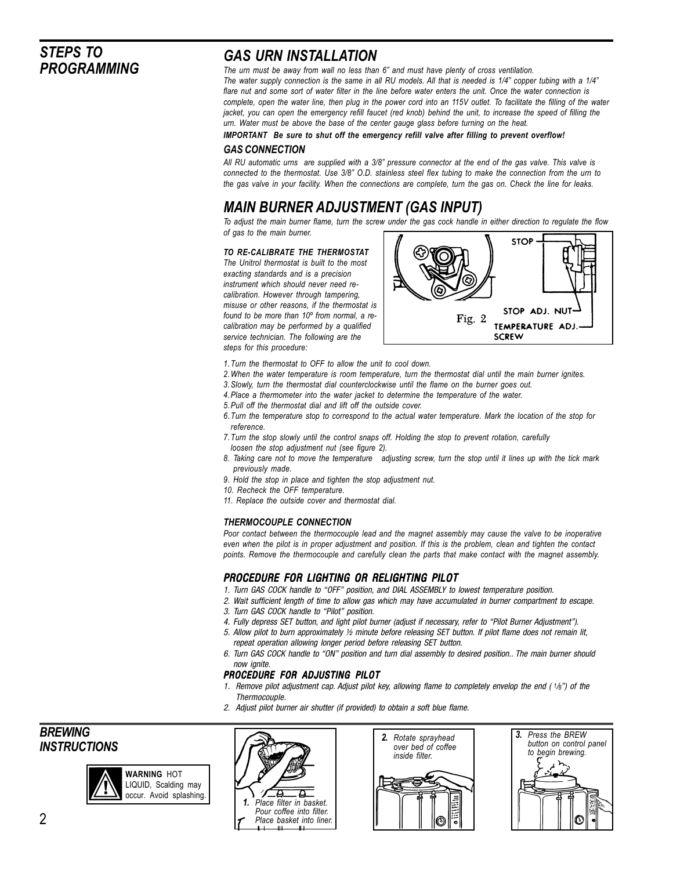## *STEPS TO PROGRAMMING*

## *GAS URN INSTALLATION*

*The urn must be away from wall no less than 6" and must have plenty of cross ventilation. The water supply connection is the same in all RU models. All that is needed is 1/4" copper tubing with a 1/4" flare nut and some sort of water filter in the line before water enters the unit. Once the water connection is complete, open the water line, then plug in the power cord into an 115V outlet. To facilitate the filling of the water jacket, you can open the emergency refill faucet (red knob) behind the unit, to increase the speed of filling the urn. Water must be above the base of the center gauge glass before turning on the heat.*

*IMPORTANT Be sure to shut off the emergency refill valve after filling to prevent overflow!*

#### *GAS CONNECTION*

*All RU automatic urns are supplied with a 3/8" pressure connector at the end of the gas valve. This valve is connected to the thermostat. Use 3/8" O.D. stainless steel flex tubing to make the connection from the urn to the gas valve in your facility. When the connections are complete, turn the gas on. Check the line for leaks.*

## *MAIN BURNER ADJUSTMENT (GAS INPUT)*

*To adjust the main burner flame, turn the screw under the gas cock handle in either direction to regulate the flow of gas to the main burner.*

#### *TO RE-CALIBRATE THE THERMOSTAT*

*The Unitrol thermostat is built to the most exacting standards and is a precision instrument which should never need recalibration. However through tampering, misuse or other reasons, if the thermostat is found to be more than 10º from normal, a recalibration may be performed by a qualified service technician. The following are the steps for this procedure:*



- *1.Turn the thermostat to OFF to allow the unit to cool down.*
- *2.When the water temperature is room temperature, turn the thermostat dial until the main burner ignites.*
- *3.Slowly, turn the thermostat dial counterclockwise until the flame on the burner goes out.*
- *4.Place a thermometer into the water jacket to determine the temperature of the water.*
- *5.Pull off the thermostat dial and lift off the outside cover.*
- *6.Turn the temperature stop to correspond to the actual water temperature. Mark the location of the stop for reference.*
- *7.Turn the stop slowly until the control snaps off. Holding the stop to prevent rotation, carefully loosen the stop adjustment nut (see figure 2).*
- *8. Taking care not to move the temperature adjusting screw, turn the stop until it lines up with the tick mark previously made.*
- *9. Hold the stop in place and tighten the stop adjustment nut.*
- *10. Recheck the OFF temperature.*
- *11. Replace the outside cover and thermostat dial.*

#### *THERMOCOUPLE CONNECTION*

*Poor contact between the thermocouple lead and the magnet assembly may cause the valve to be inoperative even when the pilot is in proper adjustment and position. If this is the problem, clean and tighten the contact points. Remove the thermocouple and carefully clean the parts that make contact with the magnet assembly.*

## *PROCEDURE FOR LIGHTING OR RELIGHTING PILOT*

- *1. Turn GAS COCK handle to "OFF" position, and DIAL ASSEMBLY to lowest temperature position.*
- *2. Wait sufficient length of time to allow gas which may have accumulated in burner compartment to escape.*
- *3. Turn GAS COCK handle to "Pilot" position.*
- *4. Fully depress SET button, and light pilot burner (adjust if necessary, refer to "Pilot Burner Adjustment").*
- *5. Allow pilot to burn approximately ½ minute before releasing SET button. If pilot flame does not remain lit, repeat operation allowing longer period before releasing SET button.*
- *6. Turn GAS COCK handle to "ON" position and turn dial assembly to desired position.. The main burner should now ignite.*

#### *PROCEDURE FOR ADJUSTING PILOT*

- *1. Remove pilot adjustment cap. Adjust pilot key, allowing flame to completely envelop the end (1/8") of the Thermocouple.*
- *2. Adjust pilot burner air shutter (if provided) to obtain a soft blue flame.*

*BREWING INSTRUCTIONS*







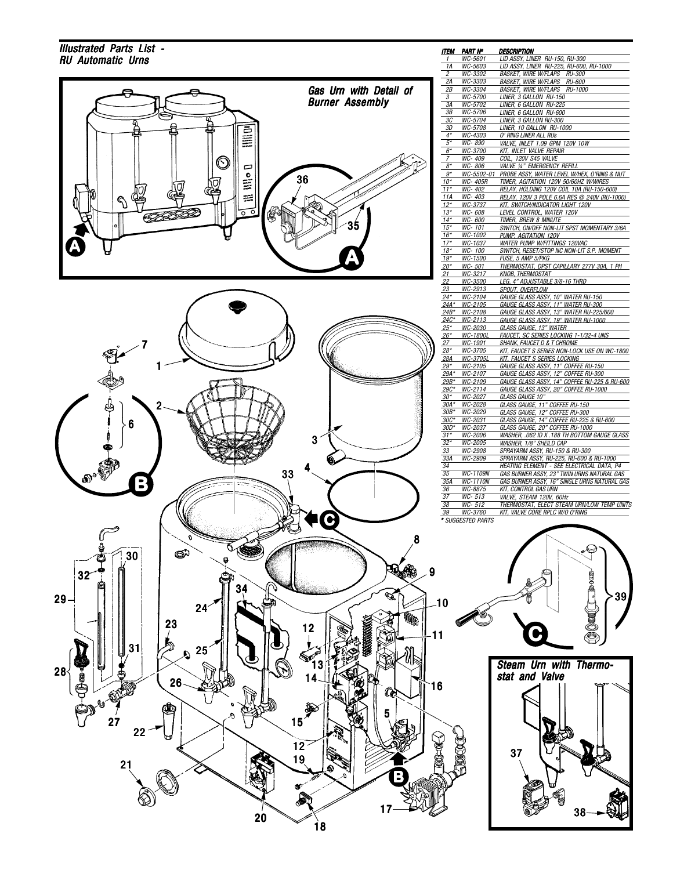### *Illustrated Parts List - RU Automatic Urns 1*



| ΠEM                     | PART Nº            | DESCRIPTION                                         |
|-------------------------|--------------------|-----------------------------------------------------|
| 1                       | WC-5601            | LID ASSY, LINER RU-150, RU-300                      |
| 1A                      | WC-5603            | LID ASSY, LINER RU-225, RU-600, RU-1000             |
| $\overline{\mathbf{2}}$ | WC-3302            | <b>BASKET. WIRE W/FLAPS</b><br><b>RU-300</b>        |
| 2A                      | WC-3303            | <b>BASKET, WIRE W/FLAPS</b><br><b>RU-600</b>        |
| 2В                      | WC-3304            | <b>BASKET, WIRE W/FLAPS</b><br><b>RU-1000</b>       |
| 3                       | WC-5700            | LINER, 3 GALLON RU-150                              |
| 3A                      | WC-5702            | LINER, 6 GALLON RU-225                              |
| 3B                      | WC-5706            | LINER, 6 GALLON RU-600                              |
| 3C                      | WC-5704            | LINER, 3 GALLON RU-300                              |
| 3D                      | WC-5708            | LINER, 10 GALLON RU-1000                            |
| $4*$                    | WC-4303            | O' RING LINER ALL RUs                               |
| $5^*$                   | WC-890             | <i>VALVE, INLET 1.09 GPM 120V 10W</i>               |
| $6^*$                   | WC-3700            |                                                     |
|                         |                    | KIT, INLET VALVE REPAIR                             |
| 7                       | WC-409             | COIL, 120V S45 VALVE                                |
| $8*$                    | WC-806             | <b>VALVE 14" EMERGENCY REFILL</b>                   |
| $g^{\star}$             | WC-5502-01         | PROBE ASSY, WATER LEVEL W/HEX, O'RING & NUT         |
| $10*$                   | WC- 405R           | TIMER, AGITATION 120V 50/60HZ W/WIRES               |
| $11*$                   | WC-402             | RELAY. HOLDING 120V COIL 10A (RU-150-600)           |
| 11A                     | WC-403             | RELAY, 120V 3 POLE 6.6A RES @ 240V (RU-1000)        |
| $12*$                   | WC-3737            | KIT, SWITCH/INDICATOR LIGHT 120V                    |
| $13*$                   | WC-608             | LEVEL CONTROL, WATER 120V                           |
| $14*$                   | WC-600             | TIMER, BREW 8 MINUTE                                |
| $15*$                   | WC-101             | SWITCH, ON/OFF NON-LIT SPST MOMENTARY 3/6A          |
| $16*$                   | WC-1002            | PUMP, AGITATION 120V                                |
| $17*$                   | WC-1037            | <b>WATER PUMP W/FITTINGS 120VAC</b>                 |
| $18*$                   | WC-100             | SWITCH, RESET/STOP NC NON-LIT S.P. MOMENT           |
| 19*                     | <i>WC-1500</i>     | <u>FUSE, 5 AMP 5/PKG</u>                            |
| $20*$                   | WC-501             | THERMOSTAT, DPST CAPILLARY 277V 30A, 1 PH           |
| 21                      | WC-3217            | <b>KNOB, THERMOSTAT</b>                             |
| 22                      | WC-3500            | LEG, 4" ADJUSTABLE 3/8-16 THRD                      |
| 23                      | WC-2913            | SPOUT, OVERFLOW                                     |
| $24*$                   |                    |                                                     |
|                         | WC-2104            | GAUGE GLASS ASSY, 10" WATER RU-150                  |
| $24A*$                  | WC-2105            | GAUGE GLASS ASSY. 11" WATER RU-300                  |
| $24B*$                  | WC-2108            | GAUGE GLASS ASSY, 13" WATER RU-225/600              |
| $24C*$                  | WC-2113            | GAUGE GLASS ASSY, 19" WATER RU-1000                 |
| $25*$                   | WC-2030            | GLASS GAUGE, 13" WATER                              |
| $26*$                   | WC-1800L           | <u>FAUCET, SC SERIES LOCKING 1-1/32-4 UNS</u>       |
| 27                      | WC-1901            | <u>SHANK, FAUCET D &amp; T CHROME</u>               |
| $28*$                   | WC-3705            | <u>KIT, FAUCET S SERIES NON-LOCK USE ON WC-1800</u> |
| <u> 28A</u>             | <u>WC-3705L</u>    | <u>KIT, FAUCET S SERIES LOCKING</u>                 |
| $29*$                   | WC-2105            | GAUGE GLASS ASSY, 11" COFFEE RU-150                 |
| 29A*                    | WC-2107            | GAUGE GLASS ASSY, 12" COFFEE RU-300                 |
| $29B*$                  | WC-2109            | GAUGE GLASS ASSY, 14" COFFEE RU-225 & RU-600        |
| $29C*$                  | WC-2114            | GAUGE GLASS ASSY, 20" COFFEE RU-1000                |
| 30*                     | WC-2027            | GLASS GAUGE 10"                                     |
| $30A*$                  | WC-2028            | GLASS GAUGE, 11" COFFEE RU-150                      |
| $30B*$                  | WC-2029            | GLASS GAUGE, 12" COFFEE RU-300                      |
| $30C*$                  | WC-2031            | GLASS GAUGE, 14" COFFEE RU-225 & RU-600             |
| $30D*$                  | WC-2037            | GLASS GAUGE, 20" COFFEE RU-1000                     |
| $31*$                   |                    | WASHER, .062 ID X .188 TH BOTTOM GAUGE GLASS        |
| $32*$                   | WC-2006<br>WC-2005 |                                                     |
|                         |                    | WASHER, 1/8" SHEILD CAP                             |
| 33                      | <b>WC-2908</b>     | SPRAYARM ASSY, RU-150 & RU-300                      |
| 33A                     | WC-2909            | SPRAYARM ASSY, RU-225, RU-600 & RU-1000             |
| 34                      |                    | HEATING ELEMENT - SEE ELECTRICAL DATA, P4           |
| 35                      | WC-1109N           | GAS BURNER ASSY, 23" TWIN URNS NATURAL GAS          |
| 35A                     | WC-1110N           | GAS BURNER ASSY, 16" SINGLE URNS NATURAL GAS        |
| 36                      | WC-8875            | KIT. CONTROL GAS URN                                |
| 37                      | $WC - 513$         | VALVE, STEAM 120V, 60Hz                             |
| 38                      | $WC - 512$         | THERMOSTAT, ELECT STEAM URN/LOW TEMP UNITS          |
| $\overline{39}$         | WC-3760            | KIT, VALVE CORE RPLC W/O O'RING                     |

*THERMOSTAT, ELECT STEAM URN/LOW TEMP UNITS KIT, VALVE CORE RPLC W/O O'RING*



38